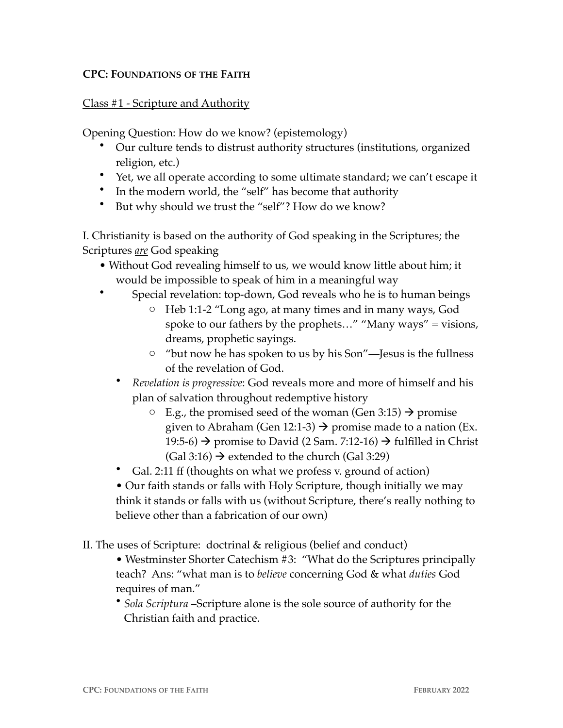## **CPC: FOUNDATIONS OF THE FAITH**

## Class #1 - Scripture and Authority

Opening Question: How do we know? (epistemology)

- Our culture tends to distrust authority structures (institutions, organized religion, etc.)
- Yet, we all operate according to some ultimate standard; we can't escape it
- In the modern world, the "self" has become that authority
- But why should we trust the "self"? How do we know?

I. Christianity is based on the authority of God speaking in the Scriptures; the Scriptures *are* God speaking

- Without God revealing himself to us, we would know little about him; it would be impossible to speak of him in a meaningful way
- Special revelation: top-down, God reveals who he is to human beings
	- o Heb 1:1-2 "Long ago, at many times and in many ways, God spoke to our fathers by the prophets…" "Many ways" = visions, dreams, prophetic sayings.
	- o "but now he has spoken to us by his Son"—Jesus is the fullness of the revelation of God.
	- *Revelation is progressive*: God reveals more and more of himself and his plan of salvation throughout redemptive history
		- $\circ$  E.g., the promised seed of the woman (Gen 3:15)  $\rightarrow$  promise given to Abraham (Gen 12:1-3)  $\rightarrow$  promise made to a nation (Ex. 19:5-6)  $\rightarrow$  promise to David (2 Sam. 7:12-16)  $\rightarrow$  fulfilled in Christ  $(Gal 3:16) \rightarrow$  extended to the church  $(Gal 3:29)$
	- Gal. 2:11 ff (thoughts on what we profess v. ground of action)
	- Our faith stands or falls with Holy Scripture, though initially we may think it stands or falls with us (without Scripture, there's really nothing to believe other than a fabrication of our own)

II. The uses of Scripture: doctrinal & religious (belief and conduct)

• Westminster Shorter Catechism #3: "What do the Scriptures principally teach? Ans: "what man is to *believe* concerning God & what *duties* God requires of man."

• *Sola Scriptura* –Scripture alone is the sole source of authority for the Christian faith and practice.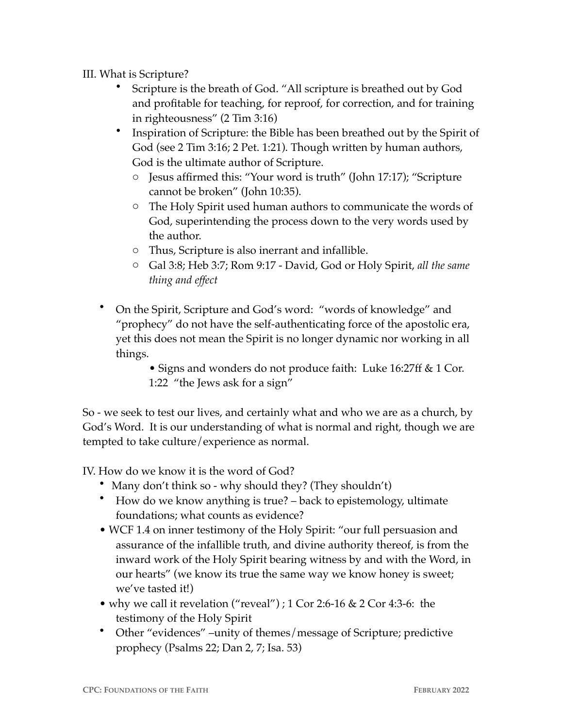III. What is Scripture?

- Scripture is the breath of God. "All scripture is breathed out by God and profitable for teaching, for reproof, for correction, and for training in righteousness" (2 Tim 3:16)
- Inspiration of Scripture: the Bible has been breathed out by the Spirit of God (see 2 Tim 3:16; 2 Pet. 1:21). Though written by human authors, God is the ultimate author of Scripture.
	- o Jesus affirmed this: "Your word is truth" (John 17:17); "Scripture cannot be broken" (John 10:35).
	- o The Holy Spirit used human authors to communicate the words of God, superintending the process down to the very words used by the author.
	- o Thus, Scripture is also inerrant and infallible.
	- o Gal 3:8; Heb 3:7; Rom 9:17 David, God or Holy Spirit, *all the same thing and effect*
- On the Spirit, Scripture and God's word: "words of knowledge" and "prophecy" do not have the self-authenticating force of the apostolic era, yet this does not mean the Spirit is no longer dynamic nor working in all things.

• Signs and wonders do not produce faith: Luke 16:27ff & 1 Cor. 1:22 "the Jews ask for a sign"

So - we seek to test our lives, and certainly what and who we are as a church, by God's Word. It is our understanding of what is normal and right, though we are tempted to take culture/experience as normal.

IV. How do we know it is the word of God?

- Many don't think so why should they? (They shouldn't)
- How do we know anything is true? back to epistemology, ultimate foundations; what counts as evidence?
- WCF 1.4 on inner testimony of the Holy Spirit: "our full persuasion and assurance of the infallible truth, and divine authority thereof, is from the inward work of the Holy Spirit bearing witness by and with the Word, in our hearts" (we know its true the same way we know honey is sweet; we've tasted it!)
- why we call it revelation ("reveal") ; 1 Cor 2:6-16 & 2 Cor 4:3-6: the testimony of the Holy Spirit
- Other "evidences" –unity of themes/message of Scripture; predictive prophecy (Psalms 22; Dan 2, 7; Isa. 53)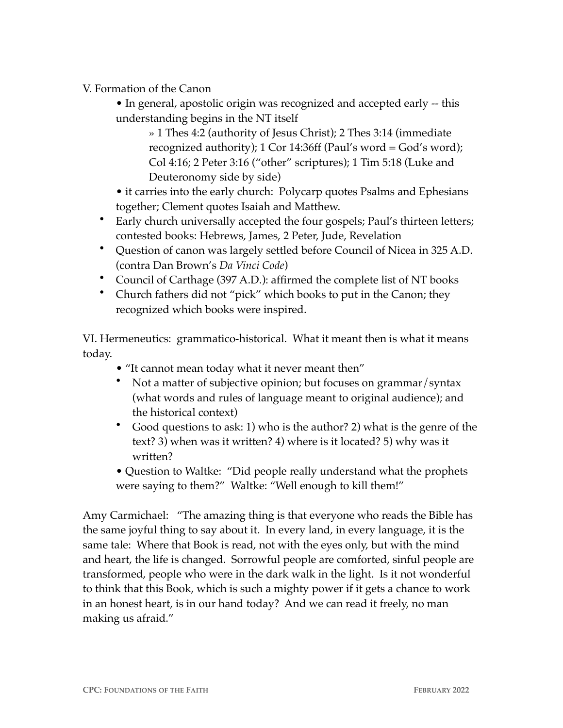V. Formation of the Canon

• In general, apostolic origin was recognized and accepted early -- this understanding begins in the NT itself

» 1 Thes 4:2 (authority of Jesus Christ); 2 Thes 3:14 (immediate recognized authority); 1 Cor 14:36ff (Paul's word = God's word); Col 4:16; 2 Peter 3:16 ("other" scriptures); 1 Tim 5:18 (Luke and Deuteronomy side by side)

• it carries into the early church: Polycarp quotes Psalms and Ephesians together; Clement quotes Isaiah and Matthew.

- Early church universally accepted the four gospels; Paul's thirteen letters; contested books: Hebrews, James, 2 Peter, Jude, Revelation
- Question of canon was largely settled before Council of Nicea in 325 A.D. (contra Dan Brown's *Da Vinci Code*)
- Council of Carthage (397 A.D.): affirmed the complete list of NT books
- Church fathers did not "pick" which books to put in the Canon; they recognized which books were inspired.

VI. Hermeneutics: grammatico-historical. What it meant then is what it means today.

- "It cannot mean today what it never meant then"
- Not a matter of subjective opinion; but focuses on grammar/syntax (what words and rules of language meant to original audience); and the historical context)
- Good questions to ask: 1) who is the author? 2) what is the genre of the text? 3) when was it written? 4) where is it located? 5) why was it written?
- Question to Waltke: "Did people really understand what the prophets were saying to them?" Waltke: "Well enough to kill them!"

Amy Carmichael: "The amazing thing is that everyone who reads the Bible has the same joyful thing to say about it. In every land, in every language, it is the same tale: Where that Book is read, not with the eyes only, but with the mind and heart, the life is changed. Sorrowful people are comforted, sinful people are transformed, people who were in the dark walk in the light. Is it not wonderful to think that this Book, which is such a mighty power if it gets a chance to work in an honest heart, is in our hand today? And we can read it freely, no man making us afraid."